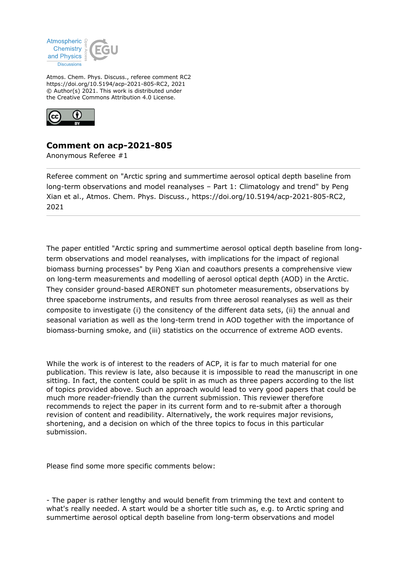

Atmos. Chem. Phys. Discuss., referee comment RC2 https://doi.org/10.5194/acp-2021-805-RC2, 2021 © Author(s) 2021. This work is distributed under the Creative Commons Attribution 4.0 License.



## **Comment on acp-2021-805**

Anonymous Referee #1

Referee comment on "Arctic spring and summertime aerosol optical depth baseline from long-term observations and model reanalyses – Part 1: Climatology and trend" by Peng Xian et al., Atmos. Chem. Phys. Discuss., https://doi.org/10.5194/acp-2021-805-RC2, 2021

The paper entitled "Arctic spring and summertime aerosol optical depth baseline from longterm observations and model reanalyses, with implications for the impact of regional biomass burning processes" by Peng Xian and coauthors presents a comprehensive view on long-term measurements and modelling of aerosol optical depth (AOD) in the Arctic. They consider ground-based AERONET sun photometer measurements, observations by three spaceborne instruments, and results from three aerosol reanalyses as well as their composite to investigate (i) the consitency of the different data sets, (ii) the annual and seasonal variation as well as the long-term trend in AOD together with the importance of biomass-burning smoke, and (iii) statistics on the occurrence of extreme AOD events.

While the work is of interest to the readers of ACP, it is far to much material for one publication. This review is late, also because it is impossible to read the manuscript in one sitting. In fact, the content could be split in as much as three papers according to the list of topics provided above. Such an approach would lead to very good papers that could be much more reader-friendly than the current submission. This reviewer therefore recommends to reject the paper in its current form and to re-submit after a thorough revision of content and readibility. Alternatively, the work requires major revisions, shortening, and a decision on which of the three topics to focus in this particular submission.

Please find some more specific comments below:

- The paper is rather lengthy and would benefit from trimming the text and content to what's really needed. A start would be a shorter title such as, e.g. to Arctic spring and summertime aerosol optical depth baseline from long-term observations and model